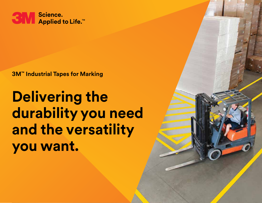

**3M™ Industrial Tapes for Marking**

# **Delivering the durability you need and the versatility you want.**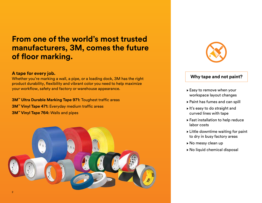### **From one of the world's most trusted manufacturers, 3M, comes the future of floor marking.**

#### **A tape for every job.**

Whether you're marking a wall, a pipe, or a loading dock, 3M has the right product durability, flexibility and vibrant color you need to help maximize your workflow, safety and factory or warehouse appearance.

**3M™ Ultra Durable Marking Tape 971:** Toughest traffic areas **3M™ Vinyl Tape 471:** Everyday medium traffic areas **3M™ Vinyl Tape 764:** Walls and pipes





### **Why tape and not paint?**

- ▶ Easy to remove when your workspace layout changes
- Paint has fumes and can spill
- $\blacktriangleright$  It's easy to do straight and curved lines with tape
- Fast installation to help reduce labor costs
- $\triangleright$  Little downtime waiting for paint to dry in busy factory areas
- ▶ No messy clean up
- ▶ No liquid chemical disposal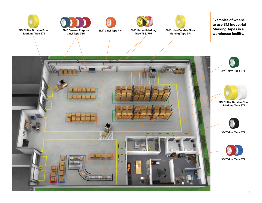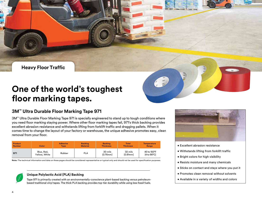**Heavy Floor Traffic**

## **One of the world's toughest floor marking tapes.**

#### **3M™ Ultra Durable Floor Marking Tape 971**

3M™ Ultra Durable Floor Marking Tape 971 is specially engineered to stand up to tough conditions where you need floor marking staying power. Where other floor marking tapes fail, 971's thick backing provides excellent abrasion resistance and withstands lifting from forklift traffic and dragging pallets. When it comes time to change the layout of your factory or warehouse, the unique adhesive promotes easy, clean removal from your floor.

| Product       | Color                       | <b>Adhesive</b> | <b>Backing</b>  | <b>Backing</b>            | <b>Total</b>        | <b>Temperature</b>                  |
|---------------|-----------------------------|-----------------|-----------------|---------------------------|---------------------|-------------------------------------|
| <b>Number</b> |                             | <b>Type</b>     | <b>Material</b> | <b>Thickness</b>          | <b>Thickness</b>    | Range                               |
| 971           | Blue, Red,<br>Yellow. White | Rubber          | <b>PLA</b>      | 30 mils<br>$(0.76$ mm $)$ | 32 mils<br>(0.81mm) | 40 to 150°F<br>$(4 to 66^{\circ}C)$ |

**Note:** The technical information and data on these pages should be considered representative or typical only and should not be used for specification purposes.



#### **Unique Polylactic Acid (PLA) Backing**

Tape 971 is primarily created with an environmentally-conscience plant-based backing versus petroleumbased traditional vinyl tapes. The thick PLA backing provides top-tier durability while using less fossil fuels.



- Excellent abrasion resistance
- Withstands lifting from forklift traffic
- Bright colors for high visibility
- Resists moisture and many chemicals
- Sticks on contact and stays where you put it
- Promotes clean removal without solvents
- Available in a variety of widths and colors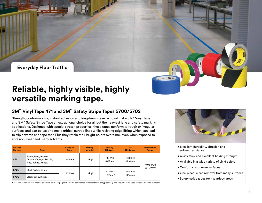**Everyday Floor Traffic**

## **Reliable, highly visible, highly versatile marking tape.**

### **3M™ Vinyl Tape 471 and 3M™ Safety Stripe Tapes 5700/5702**

Strength, conformability, instant adhesion and long-term clean removal make 3M™ Vinyl Tape and 3M™ Safety Stripe Tape an exceptional choice for all but the heaviest lane and safety marking applications. Designed with special stretch properties, these tapes conform to rough or irregular surfaces and can be used to make critical curved lines while resisting edge lifting which can lead to trip hazards and tape tear. Plus they retain their bright colors over time, even when exposed to abrasion, wear and many solvents.

| <b>Product</b><br><b>Number</b> | Color                                                               | <b>Adhesive</b><br><b>Type</b> | <b>Backing</b><br><b>Material</b> | <b>Backing</b><br><b>Thickness</b> | <b>Total</b><br><b>Thickness</b>      | <b>Temperature</b><br>Range |  |
|---------------------------------|---------------------------------------------------------------------|--------------------------------|-----------------------------------|------------------------------------|---------------------------------------|-----------------------------|--|
| 471                             | Black, Blue, Brown,<br>Green, Orange, Purple,<br>Red, White, Yellow | Rubber                         | Vinyl                             | 4.1 mils<br>(0.10mm)               | $5.2 \text{ miles}$<br>$(0.14$ mm $)$ | 40 to 170°F                 |  |
| 5700                            | <b>Black/White Stripe</b>                                           | Rubber                         |                                   | 4.2 mils<br>(0.11mm)               | 5.4 mils<br>(0.14mm)                  | (4 to 77°C)                 |  |
| 5702                            | <b>Black/Yellow Stripe</b>                                          |                                | Vinyl                             |                                    |                                       |                             |  |

**Note:** The technical information and data on these pages should be considered representative or typical only and should not be used for specification purposes.



• Excellent durability, abrasion and solvent resistance

3M 01

- Quick stick and excellent holding strength
- Available in a wide variety of vivid colors
- Conforms to uneven surfaces
- One-piece, clean removal from many surfaces
- Safety stripe tapes for hazardous areas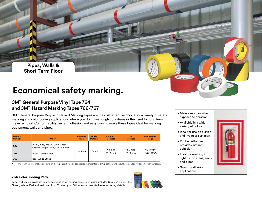**Pipes, Walls & Short Term Floor**

# **Economical safety marking.**

### **3M™ General Purpose Vinyl Tape 764 and 3M™ Hazard Marking Tapes 766/767**

3M™ General Purpose Vinyl and Hazard Marking Tapes are the cost-effective choice for a variety of safety marking and color coding applications where you don't see tough conditions or the need for long term clean removal. Conformability, instant adhesion and easy unwind make these tapes ideal for marking equipment, walls and pipes.

| <b>Product</b><br><b>Number</b> | Color                                                                  | <b>Adhesive</b><br><b>Type</b> | <b>Backing</b><br><b>Material</b> | <b>Backing</b><br><b>Thickness</b> | <b>Total</b><br><b>Thickness</b> | <b>Temperature</b><br>Range |
|---------------------------------|------------------------------------------------------------------------|--------------------------------|-----------------------------------|------------------------------------|----------------------------------|-----------------------------|
| 764                             | Black, Blue, Brown, Gray, Green,<br>Orange, Purple, Red, White, Yellow |                                |                                   | 4.1 mils                           | 5.0 mils                         | 60 to 85°F                  |
| 766                             | <b>Black/Yellow Stripe</b>                                             | Rubber                         | Vinyl                             | $(0.10 \,\mathrm{mm})$             | (0.13mm)                         | (16 to 27°C)                |
| 767                             | Red/White Stripe                                                       |                                |                                   |                                    |                                  |                             |

**Note:** The technical information and data on these pages should be considered representative or typical only and should not be used for specification purposes.

#### **764 Color-Coding Pack**

Tape 764 is also available in a convenient color-coding pack. Each pack includes 6 rolls in Black, Blue, Green, White, Red and Yellow colors. Contact your 3M sales representative for ordering details.



- Maintains color when exposed to abrasion
- Available in a wide variety of colors
- Ideal for use on curved and irregular surfaces
- Rubber adhesive provides instant adhesion
- Ideal for marking in light traffic areas, walls and pipes
- Great for diverse applications



6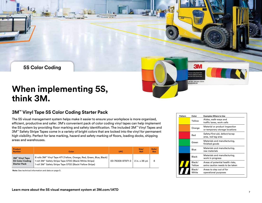

#### **3M™ Vinyl Tape 5S Color Coding Starter Pack**

The 5S visual management system helps make it easier to ensure your workplace is more organized, efficient, productive and safer. 3M's convenient pack of color coding vinyl tapes can help implement the 5S system by providing floor marking and safety identification. The included 3M™ Vinyl Tapes and 3M™ Safety Stripe Tapes come in a variety of bright colors that are locked into the vinyl for permanent high visibility. Perfect for lane marking, hazard and safety marking of floors, loading docks, shipping areas and warehouses.

| Product<br><b>Number</b>                                 | Color                                                                                                                                                                                                   | <b>UPC</b>       | Size/<br><b>Roll</b> | Rolls/<br><b>Box</b> |
|----------------------------------------------------------|---------------------------------------------------------------------------------------------------------------------------------------------------------------------------------------------------------|------------------|----------------------|----------------------|
| 3M™ Vinyl Tape<br>5S Color Coding<br><b>Starter Pack</b> | 6 rolls 3M™ Vinyl Tape 471 (Yellow, Orange, Red, Green, Blue, Black)<br>1 roll 3M <sup>*</sup> Safety Stripe Tape 5700 (Black/White Stripe)<br>1 roll 3M™ Safety Stripe Tape 5702 (Black/Yellow Stripe) | 00-76308-97971-3 | 2 in. x 36 vd.       | 8                    |

**Note:** See technical information and data on page 5.

| Pattern | Color            | <b>Examples Where to Use</b>                                        |
|---------|------------------|---------------------------------------------------------------------|
|         | Yellow           | Aisles, walk-ways and<br>traffic lanes, work cells                  |
|         | Orange           | Material or product inspection<br>or temporary storage locations    |
|         | Red              | Safety/first aid, defect/scrap<br>area, red tag area                |
|         | Green            | Materials and manufacturing,<br>finished goods                      |
|         | Blue             | Materials and manufacturing,<br>raw materials                       |
|         | Black            | Materials and manufacturing,<br>work in progress                    |
|         | Black/<br>Yellow | Areas of potential health risks,<br>extra caution needs to be taken |
|         | Black/<br>White  | Areas to stay out of for<br>operational purposes                    |